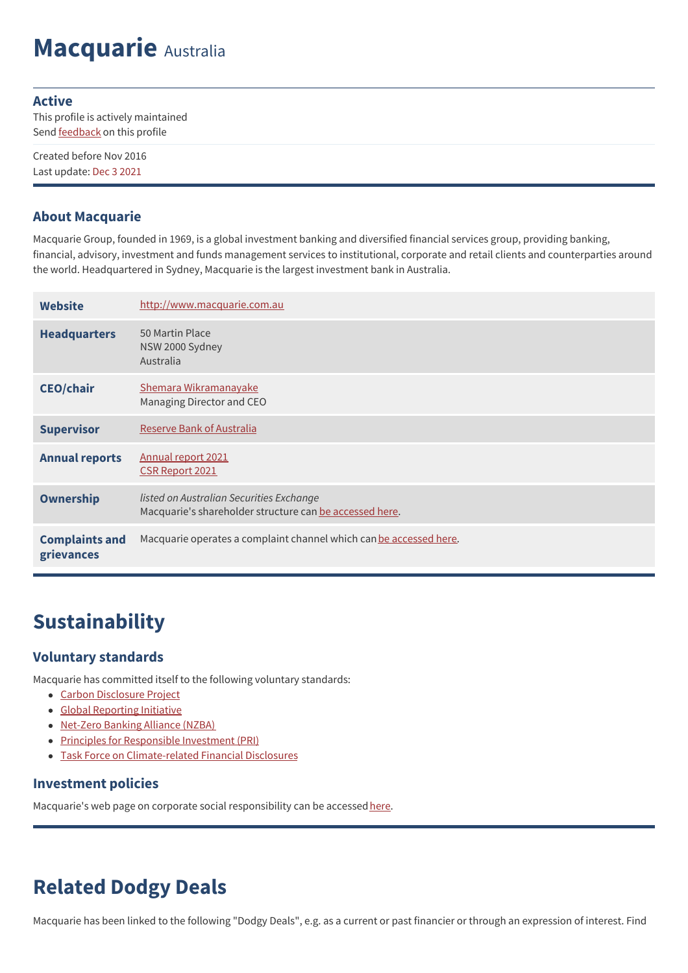# **Macquarie** Australia

#### **Active**

This profile is actively maintained Send **[feedback](https://www.banktrack.org/feedback/bankprofile/macquarie_group)** on this profile

Created before Nov 2016 Last update: Dec 3 2021

#### **About Macquarie**

Macquarie Group, founded in 1969, is a global investment banking and diversified financial services group, providing banking, financial, advisory, investment and funds management services to institutional, corporate and retail clients and counterparties around the world. Headquartered in Sydney, Macquarie is the largest investment bank in Australia.

| <b>Website</b>                      | http://www.macquarie.com.au                                                                         |
|-------------------------------------|-----------------------------------------------------------------------------------------------------|
| <b>Headquarters</b>                 | 50 Martin Place<br>NSW 2000 Sydney<br>Australia                                                     |
| <b>CEO/chair</b>                    | Shemara Wikramanayake<br>Managing Director and CEO                                                  |
| <b>Supervisor</b>                   | <b>Reserve Bank of Australia</b>                                                                    |
| <b>Annual reports</b>               | Annual report 2021<br><b>CSR Report 2021</b>                                                        |
| Ownership                           | listed on Australian Securities Exchange<br>Macquarie's shareholder structure can be accessed here. |
| <b>Complaints and</b><br>grievances | Macquarie operates a complaint channel which can be accessed here.                                  |

## **Sustainability**

#### **Voluntary standards**

Macquarie has committed itself to the following voluntary standards:

- Carbon [Disclosure](https://www.cdp.net/en-US/Pages/HomePage.aspx) Project
- Global [Reporting](http://www.globalreporting.org) Initiative
- [Net-Zero](https://www.unepfi.org/net-zero-banking/) Banking Alliance (NZBA)
- Principles for [Responsible](http://www.unpri.org/) Investment (PRI)
- Task Force on [Climate-related](https://www.fsb-tcfd.org/) Financial Disclosures

#### **Investment policies**

Macquarie's web page on corporate social responsibility can be accessed [here](https://www.macquarie.com/ie/about/company/environmental-social-governance-esg).

## **Related Dodgy Deals**

Macquarie has been linked to the following "Dodgy Deals", e.g. as a current or past financier or through an expression of interest. Find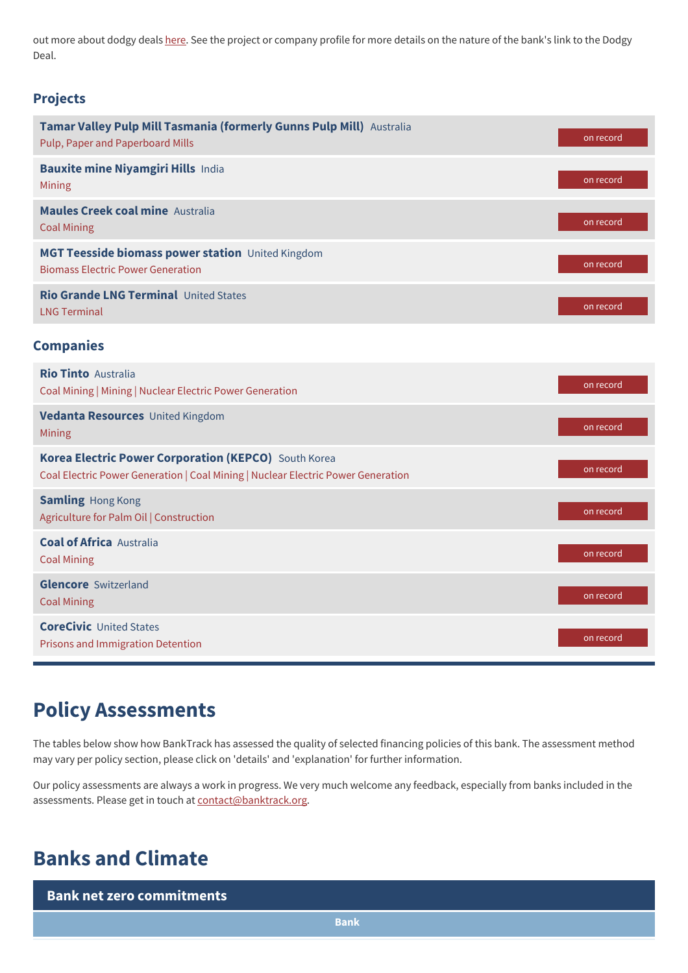out more about dodgy deals [here](https://www.banktrack.org/show/page/what_are_dodgy_deals). See the project or company profile for more details on the nature of the bank's link to the Dodgy Deal.

#### **Projects**

| Tamar Valley Pulp Mill Tasmania (formerly Gunns Pulp Mill) Australia<br>Pulp, Paper and Paperboard Mills                                 | on record |
|------------------------------------------------------------------------------------------------------------------------------------------|-----------|
| <b>Bauxite mine Niyamgiri Hills India</b><br>Mining                                                                                      | on record |
| <b>Maules Creek coal mine Australia</b><br><b>Coal Mining</b>                                                                            | on record |
| MGT Teesside biomass power station United Kingdom<br><b>Biomass Electric Power Generation</b>                                            | on record |
| Rio Grande LNG Terminal United States<br><b>LNG Terminal</b>                                                                             | on record |
| <b>Companies</b>                                                                                                                         |           |
| <b>Rio Tinto Australia</b><br>Coal Mining   Mining   Nuclear Electric Power Generation                                                   | on record |
| Vedanta Resources United Kingdom<br>Mining                                                                                               | on record |
| Korea Electric Power Corporation (KEPCO) South Korea<br>Coal Electric Power Generation   Coal Mining   Nuclear Electric Power Generation | on record |
| <b>Samling Hong Kong</b><br>Agriculture for Palm Oil   Construction                                                                      | on record |
| <b>Coal of Africa Australia</b><br><b>Coal Mining</b>                                                                                    | on record |
| <b>Glencore</b> Switzerland<br><b>Coal Mining</b>                                                                                        | on record |
| <b>CoreCivic United States</b><br><b>Prisons and Immigration Detention</b>                                                               | on record |

### **Policy Assessments**

The tables below show how BankTrack has assessed the quality of selected financing policies of this bank. The assessment method may vary per policy section, please click on 'details' and 'explanation' for further information.

Our policy assessments are always a work in progress. We very much welcome any feedback, especially from banks included in the assessments. Please get in touch at [contact@banktrack.org](mailto:climate@banktrack.org).

### **Banks and Climate**

**Bank net zero commitments**